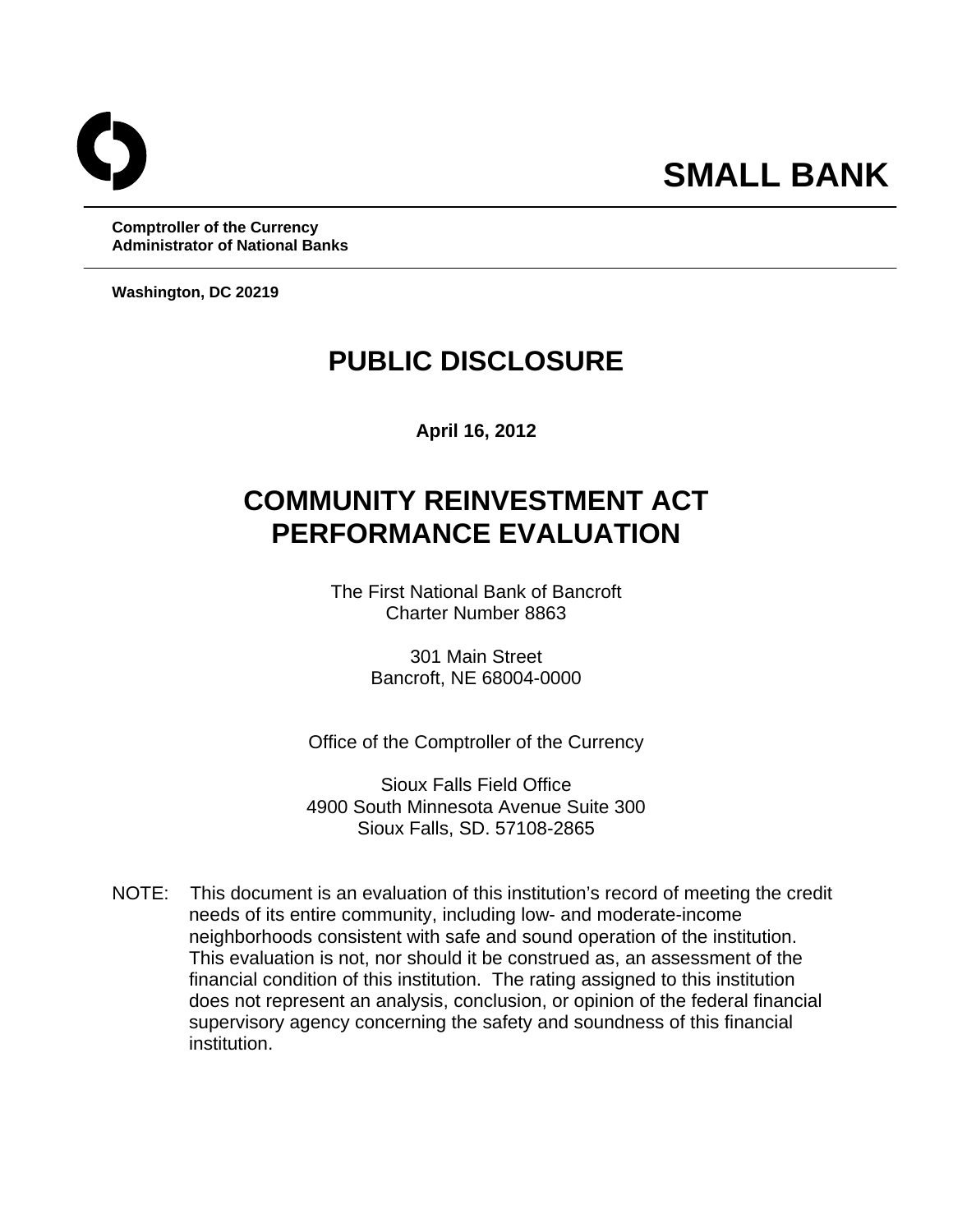**Administrator of National Banks Washington, DC 20219 Comptroller of the Currency** 

## **PUBLIC DISCLOSURE**

**April 16, 2012** 

# **COMMUNITY REINVESTMENT ACT PERFORMANCE EVALUATION**

The First National Bank of Bancroft Charter Number 8863

> 301 Main Street Bancroft, NE 68004-0000

Office of the Comptroller of the Currency

Sioux Falls Field Office 4900 South Minnesota Avenue Suite 300 Sioux Falls, SD. 57108-2865

 NOTE: This document is an evaluation of this institution's record of meeting the credit needs of its entire community, including low- and moderate-income neighborhoods consistent with safe and sound operation of the institution. This evaluation is not, nor should it be construed as, an assessment of the financial condition of this institution. The rating assigned to this institution does not represent an analysis, conclusion, or opinion of the federal financial supervisory agency concerning the safety and soundness of this financial institution.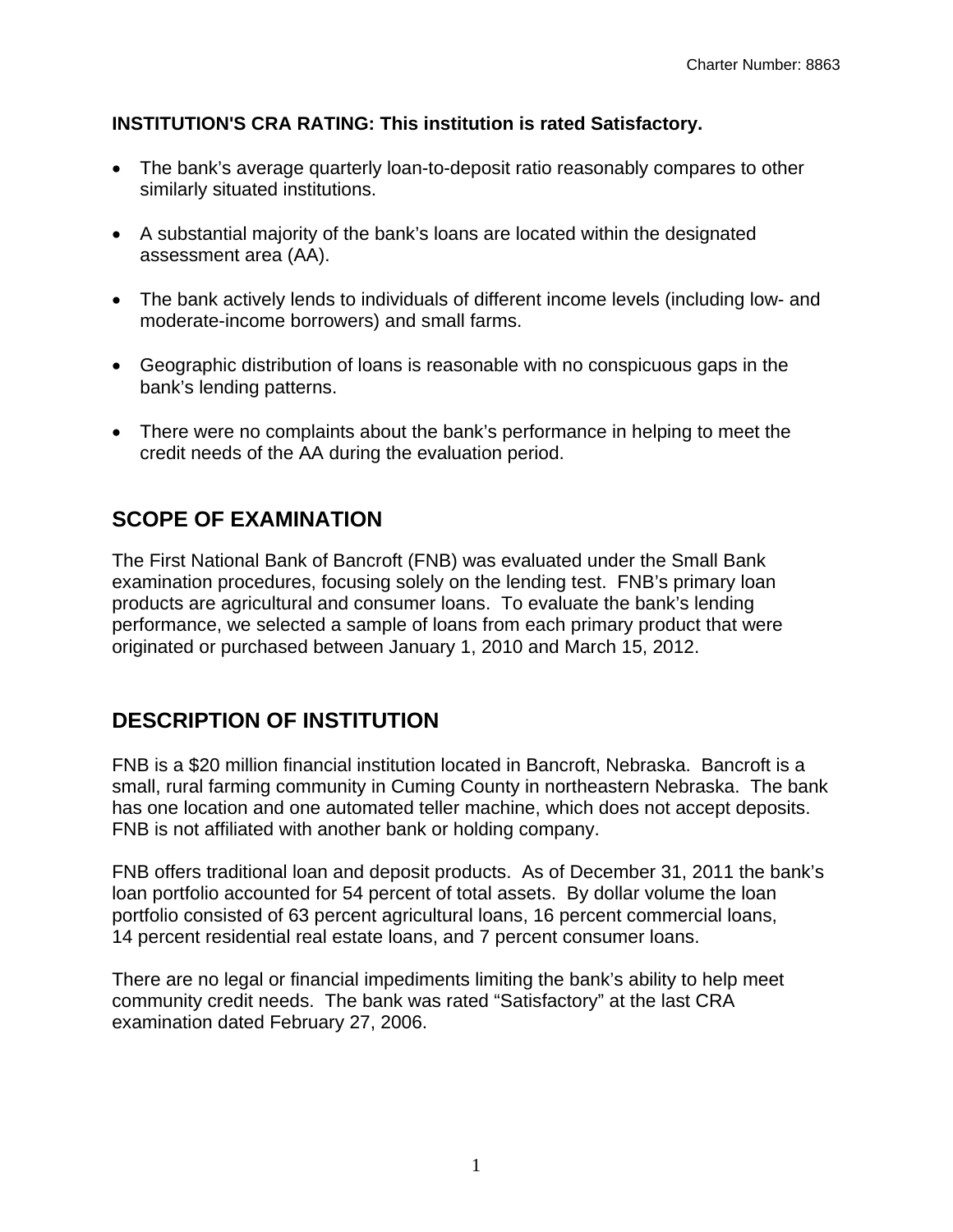#### **INSTITUTION'S CRA RATING: This institution is rated Satisfactory.**

- The bank's average quarterly loan-to-deposit ratio reasonably compares to other similarly situated institutions.
- A substantial majority of the bank's loans are located within the designated assessment area (AA).
- The bank actively lends to individuals of different income levels (including low- and moderate-income borrowers) and small farms.
- Geographic distribution of loans is reasonable with no conspicuous gaps in the bank's lending patterns.
- There were no complaints about the bank's performance in helping to meet the credit needs of the AA during the evaluation period.

### **SCOPE OF EXAMINATION**

The First National Bank of Bancroft (FNB) was evaluated under the Small Bank examination procedures, focusing solely on the lending test. FNB's primary loan products are agricultural and consumer loans. To evaluate the bank's lending performance, we selected a sample of loans from each primary product that were originated or purchased between January 1, 2010 and March 15, 2012.

### **DESCRIPTION OF INSTITUTION**

FNB is a \$20 million financial institution located in Bancroft, Nebraska. Bancroft is a small, rural farming community in Cuming County in northeastern Nebraska. The bank has one location and one automated teller machine, which does not accept deposits. FNB is not affiliated with another bank or holding company.

FNB offers traditional loan and deposit products. As of December 31, 2011 the bank's loan portfolio accounted for 54 percent of total assets. By dollar volume the loan portfolio consisted of 63 percent agricultural loans, 16 percent commercial loans, 14 percent residential real estate loans, and 7 percent consumer loans.

There are no legal or financial impediments limiting the bank's ability to help meet community credit needs. The bank was rated "Satisfactory" at the last CRA examination dated February 27, 2006.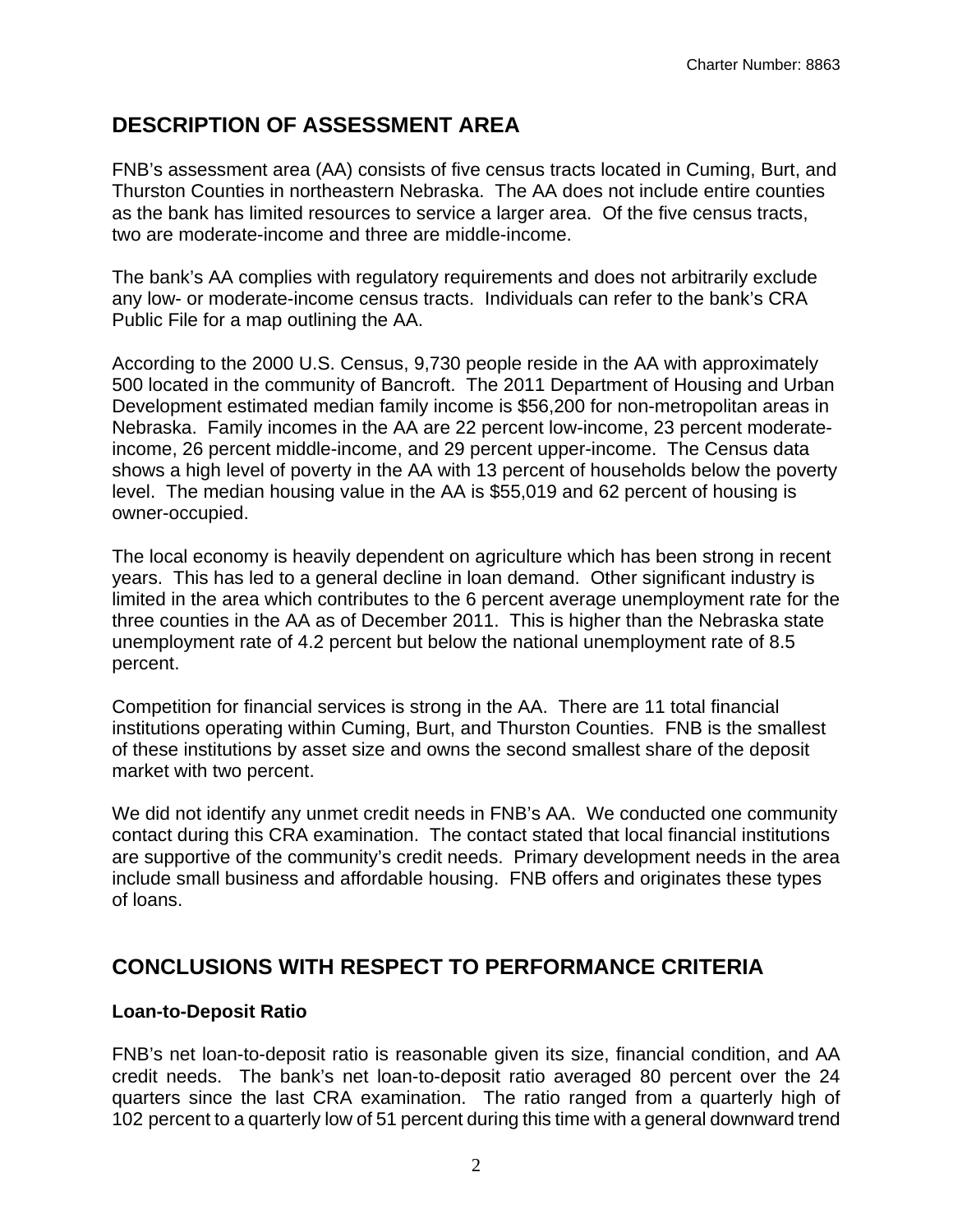### **DESCRIPTION OF ASSESSMENT AREA**

FNB's assessment area (AA) consists of five census tracts located in Cuming, Burt, and Thurston Counties in northeastern Nebraska. The AA does not include entire counties as the bank has limited resources to service a larger area. Of the five census tracts, two are moderate-income and three are middle-income.

The bank's AA complies with regulatory requirements and does not arbitrarily exclude any low- or moderate-income census tracts. Individuals can refer to the bank's CRA Public File for a map outlining the AA.

According to the 2000 U.S. Census, 9,730 people reside in the AA with approximately 500 located in the community of Bancroft. The 2011 Department of Housing and Urban Development estimated median family income is \$56,200 for non-metropolitan areas in Nebraska. Family incomes in the AA are 22 percent low-income, 23 percent moderateincome, 26 percent middle-income, and 29 percent upper-income. The Census data shows a high level of poverty in the AA with 13 percent of households below the poverty level. The median housing value in the AA is \$55,019 and 62 percent of housing is owner-occupied.

The local economy is heavily dependent on agriculture which has been strong in recent years. This has led to a general decline in loan demand. Other significant industry is limited in the area which contributes to the 6 percent average unemployment rate for the three counties in the AA as of December 2011. This is higher than the Nebraska state unemployment rate of 4.2 percent but below the national unemployment rate of 8.5 percent.

Competition for financial services is strong in the AA. There are 11 total financial institutions operating within Cuming, Burt, and Thurston Counties. FNB is the smallest of these institutions by asset size and owns the second smallest share of the deposit market with two percent.

We did not identify any unmet credit needs in FNB's AA. We conducted one community contact during this CRA examination. The contact stated that local financial institutions are supportive of the community's credit needs. Primary development needs in the area include small business and affordable housing. FNB offers and originates these types of loans.

### **CONCLUSIONS WITH RESPECT TO PERFORMANCE CRITERIA**

#### **Loan-to-Deposit Ratio**

FNB's net loan-to-deposit ratio is reasonable given its size, financial condition, and AA credit needs. The bank's net loan-to-deposit ratio averaged 80 percent over the 24 quarters since the last CRA examination. The ratio ranged from a quarterly high of 102 percent to a quarterly low of 51 percent during this time with a general downward trend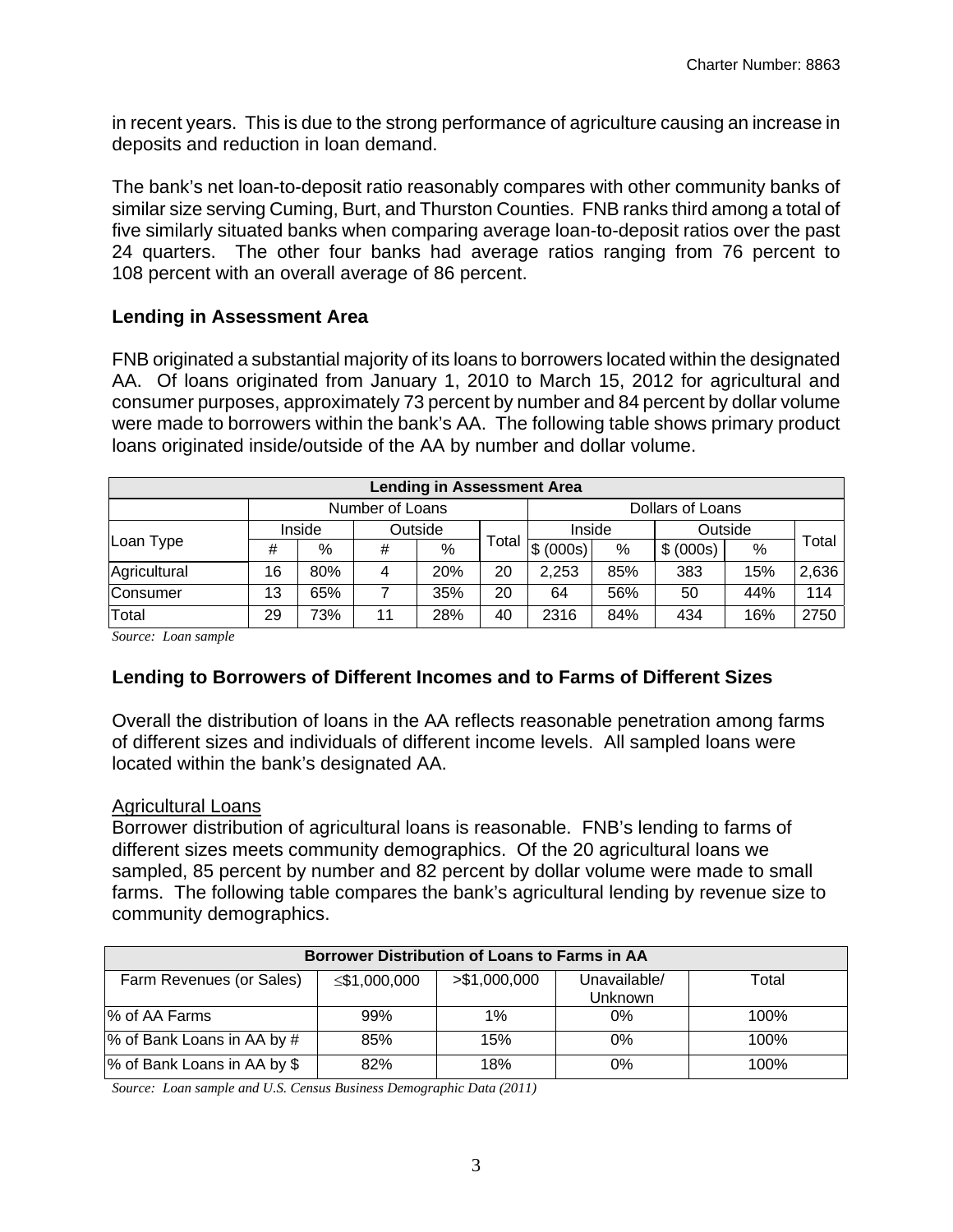in recent years. This is due to the strong performance of agriculture causing an increase in deposits and reduction in loan demand.

The bank's net loan-to-deposit ratio reasonably compares with other community banks of similar size serving Cuming, Burt, and Thurston Counties. FNB ranks third among a total of five similarly situated banks when comparing average loan-to-deposit ratios over the past 24 quarters. The other four banks had average ratios ranging from 76 percent to 108 percent with an overall average of 86 percent.

#### **Lending in Assessment Area**

FNB originated a substantial majority of its loans to borrowers located within the designated AA. Of loans originated from January 1, 2010 to March 15, 2012 for agricultural and consumer purposes, approximately 73 percent by number and 84 percent by dollar volume were made to borrowers within the bank's AA. The following table shows primary product loans originated inside/outside of the AA by number and dollar volume.

| <b>Lending in Assessment Area</b> |                   |     |    |            |        |                  |         |           |     |       |  |
|-----------------------------------|-------------------|-----|----|------------|--------|------------------|---------|-----------|-----|-------|--|
|                                   | Number of Loans   |     |    |            |        | Dollars of Loans |         |           |     |       |  |
| Loan Type                         | Inside<br>Outside |     |    |            | Inside |                  | Outside |           |     |       |  |
|                                   | #                 | %   | #  | %          | Total  | \$ (000s)        | %       | \$ (000s) | %   | Total |  |
| Agricultural                      | 16                | 80% | 4  | <b>20%</b> | 20     | 2,253            | 85%     | 383       | 15% | 2,636 |  |
| Consumer                          | 13                | 65% | 7  | 35%        | 20     | 64               | 56%     | 50        | 44% | 114   |  |
| Total                             | 29                | 73% | 11 | 28%        | 40     | 2316             | 84%     | 434       | 16% | 2750  |  |

*Source: Loan sample* 

#### **Lending to Borrowers of Different Incomes and to Farms of Different Sizes**

Overall the distribution of loans in the AA reflects reasonable penetration among farms of different sizes and individuals of different income levels. All sampled loans were located within the bank's designated AA.

#### Agricultural Loans

Borrower distribution of agricultural loans is reasonable. FNB's lending to farms of different sizes meets community demographics. Of the 20 agricultural loans we sampled, 85 percent by number and 82 percent by dollar volume were made to small farms. The following table compares the bank's agricultural lending by revenue size to community demographics.

| Borrower Distribution of Loans to Farms in AA |              |               |                                |         |  |  |  |  |  |
|-----------------------------------------------|--------------|---------------|--------------------------------|---------|--|--|--|--|--|
| Farm Revenues (or Sales)                      | ≤\$1,000,000 | > \$1,000,000 | Unavailable/<br><b>Unknown</b> | Total   |  |  |  |  |  |
| % of AA Farms                                 | 99%          | 1%            | 0%                             | $100\%$ |  |  |  |  |  |
| % of Bank Loans in AA by #                    | 85%          | 15%           | 0%                             | 100%    |  |  |  |  |  |
| % of Bank Loans in AA by \$                   | 82%          | 18%           | 0%                             | 100%    |  |  |  |  |  |

*Source: Loan sample and U.S. Census Business Demographic Data (2011)*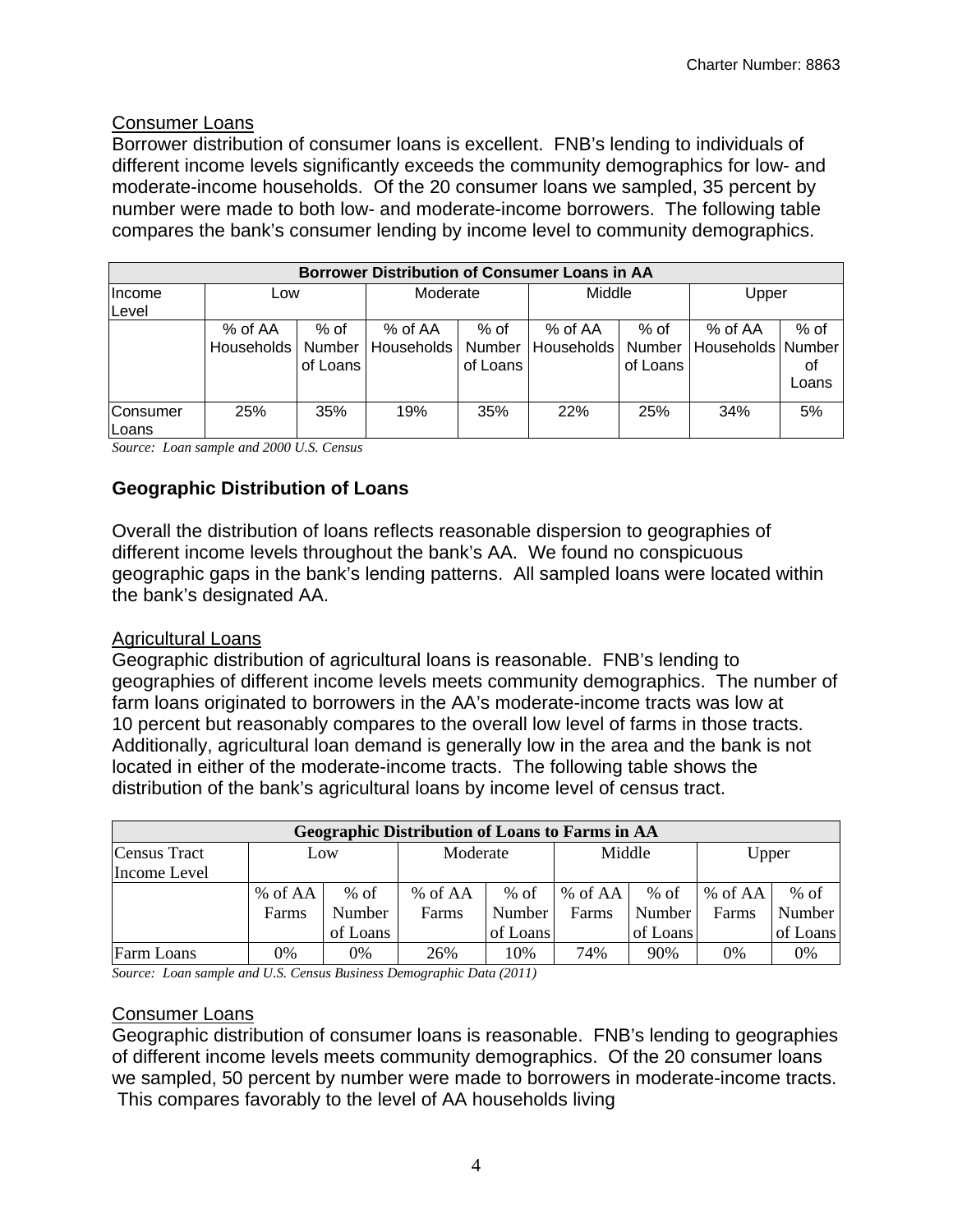#### Consumer Loans

Borrower distribution of consumer loans is excellent. FNB's lending to individuals of different income levels significantly exceeds the community demographics for low- and moderate-income households. Of the 20 consumer loans we sampled, 35 percent by number were made to both low- and moderate-income borrowers. The following table compares the bank's consumer lending by income level to community demographics.

| <b>Borrower Distribution of Consumer Loans in AA</b> |                         |                            |                       |                            |                       |                            |                                |                     |  |  |  |  |
|------------------------------------------------------|-------------------------|----------------------------|-----------------------|----------------------------|-----------------------|----------------------------|--------------------------------|---------------------|--|--|--|--|
| Income<br>Level                                      | Low                     |                            | Moderate              |                            | Middle                |                            | Upper                          |                     |  |  |  |  |
|                                                      | % of AA<br>Households I | % of<br>Number<br>of Loans | % of AA<br>Households | % of<br>Number<br>of Loans | % of AA<br>Households | % of<br>Number<br>of Loans | % of AA<br>Households   Number | % of<br>Οt<br>Loans |  |  |  |  |
| Consumer<br>Loans                                    | 25%                     | 35%                        | 19%                   | 35%                        | <b>22%</b>            | 25%                        | 34%                            | 5%                  |  |  |  |  |

*Source: Loan sample and 2000 U.S. Census* 

#### **Geographic Distribution of Loans**

Overall the distribution of loans reflects reasonable dispersion to geographies of different income levels throughout the bank's AA. We found no conspicuous geographic gaps in the bank's lending patterns. All sampled loans were located within the bank's designated AA.

#### Agricultural Loans

Geographic distribution of agricultural loans is reasonable. FNB's lending to geographies of different income levels meets community demographics. The number of farm loans originated to borrowers in the AA's moderate-income tracts was low at 10 percent but reasonably compares to the overall low level of farms in those tracts. Additionally, agricultural loan demand is generally low in the area and the bank is not located in either of the moderate-income tracts. The following table shows the distribution of the bank's agricultural loans by income level of census tract.

| <b>Geographic Distribution of Loans to Farms in AA</b> |         |          |          |          |         |          |         |          |  |  |  |  |
|--------------------------------------------------------|---------|----------|----------|----------|---------|----------|---------|----------|--|--|--|--|
| <b>Census Tract</b>                                    | Low     |          | Moderate |          | Middle  |          | Upper   |          |  |  |  |  |
| Income Level                                           |         |          |          |          |         |          |         |          |  |  |  |  |
|                                                        | % of AA | $%$ of   | % of AA  | $%$ of   | % of AA | $%$ of   | % of AA | $%$ of   |  |  |  |  |
|                                                        | Farms   | Number   | Farms    | Number   | Farms   | Number   | Farms   | Number   |  |  |  |  |
|                                                        |         | of Loans |          | of Loans |         | of Loans |         | of Loans |  |  |  |  |
| Farm Loans                                             | 0%      | 0%       | 26%      | 10%      | 74%     | 90%      | 0%      | 0%       |  |  |  |  |

*Source: Loan sample and U.S. Census Business Demographic Data (2011)* 

#### Consumer Loans

Geographic distribution of consumer loans is reasonable. FNB's lending to geographies of different income levels meets community demographics. Of the 20 consumer loans we sampled, 50 percent by number were made to borrowers in moderate-income tracts. This compares favorably to the level of AA households living